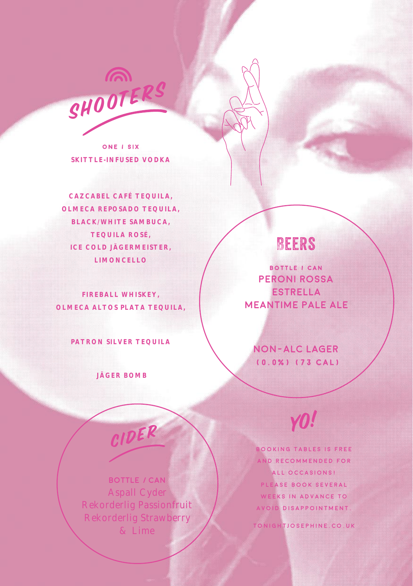

**ONE / SIX SKITTLE-INFUSED VODKA**

**CAZCABEL CAFÉ TEQUILA, OLMECA REPOSADO TEQUILA, BLACK/WHITE SAMBUCA, TEQUILA ROSÉ, ICE COLD JÄGERMEISTER, LIMONCELLO**

**FIREBALL WHISKEY, OLMECA ALTOS PLATA TEQUILA,**

**PATRON SILVER TEQUILA**

 **JÄGER BOMB**

# Beers

**BOTTLE / CAN PERONI ROSSA ESTRELLA MEANTIME PALE ALE**

**NON-ALC LAGER (0.0%) (73 CAL)**

Yo!

**BOOKING TABLES IS FREE AND RECOMMENDED FOR ALL OCCASIONS! P L E A S E B O O K S E V E R A L WEEKS IN ADVANCE TO AVOID DISAPPOINTMENT. TONIGHTJOSEPHINE.CO.UK**

**BOTTLE / CAN** Aspall Cyder Rekorderlig Passionfruit Rekorderlig Strawberry & Lime

CIDER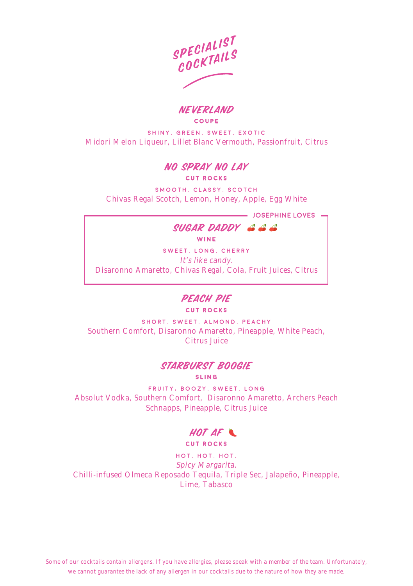SPECIALIST COCKTAILS

**NEVERLAND COUPE**

**SHINY. GREEN. SWEET. EXOTIC** Midori Melon Liqueur, Lillet Blanc Vermouth, Passionfruit, Citrus

#### NO SPRAY NO LAY **CUT ROCKS**

**SMOOTH. CLASSY. SCOTCH** Chivas Regal Scotch, Lemon, Honey, Apple, Egg White

**josephine loves** –

SUGAR DADDY

**W I N E** 

**SWEET. LONG. CHERRY** It's like candy. Disaronno Amaretto, Chivas Regal, Cola, Fruit Juices, Citrus

#### PEACH PIE **C U T R O C K S**

**SHORT. SWEET. ALMOND. PEACHY** Southern Comfort, Disaronno Amaretto, Pineapple, White Peach, Citrus Juice

#### STARBURST BOOGIE **S L I N G**

**FRUITY, BOOZY. SWEET. LONG** Absolut Vodka, Southern Comfort, Disaronno Amaretto, Archers Peach Schnapps, Pineapple, Citrus Juice

#### HOT AF **CUT ROCKS**

**HOT. HOT. HOT.** Spicy Margarita. Chilli-infused Olmeca Reposado Tequila, Triple Sec, Jalapeño, Pineapple, Lime, Tabasco

*Some of our cocktails contain allergens. If you have allergies, please speak with a member of the team. Unfortunately, we cannot guarantee the lack of any allergen in our cocktails due to the nature of how they are made.*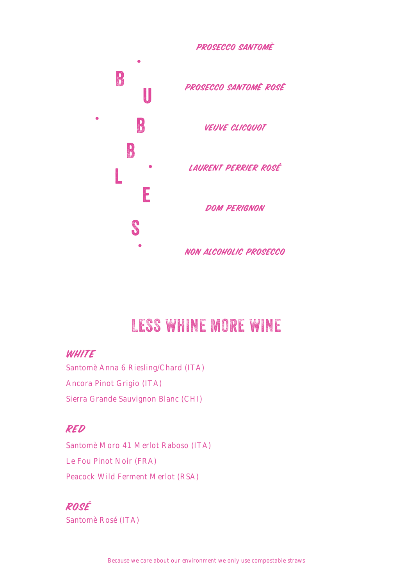

# LESS WHINE MORE WINE

## **WHITE**

Santomè Anna 6 Riesling/Chard (ITA) Ancora Pinot Grigio (ITA) Sierra Grande Sauvignon Blanc (CHI)

# RED

Santomè Moro 41 Merlot Raboso (ITA) Le Fou Pinot Noir (FRA) Peacock Wild Ferment Merlot (RSA)

# ROSÉ

Santomè Rosé (ITA)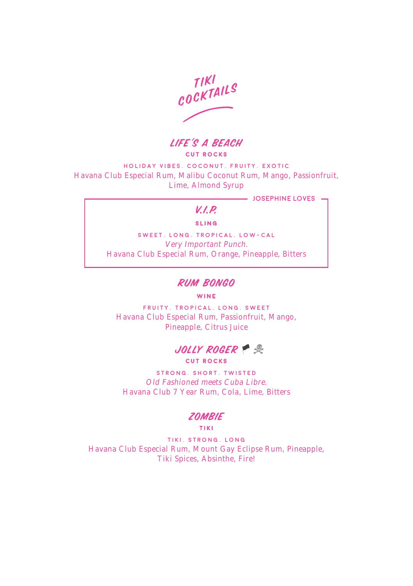tiki COCKTAILS

LIFE'S A BEACH **CUT ROCKS** 

**HOLIDAY VIBES. COCONUT. FRUITY. EXOTIC** Havana Club Especial Rum, Malibu Coconut Rum, Mango, Passionfruit, Lime, Almond Syrup

**josephine loves**

## $V/D$

#### **SLING**

**SWEET. LONG. TROPICAL. LOW-CAL** Very Important Punch. Havana Club Especial Rum, Orange, Pineapple, Bitters

#### RUM BONGO

#### **WINE**

**FRUITY. TROPICAL. LONG. SWEET** Havana Club Especial Rum, Passionfruit, Mango, Pineapple, Citrus Juice



**STRONG. SHORT. TWISTED** Old Fashioned meets Cuba Libre. Havana Club 7 Year Rum, Cola, Lime, Bitters

### **ZOMBIE**

**TIKI**

**TIKI. STRONG. LONG** Havana Club Especial Rum, Mount Gay Eclipse Rum, Pineapple, Tiki Spices, Absinthe, Fire!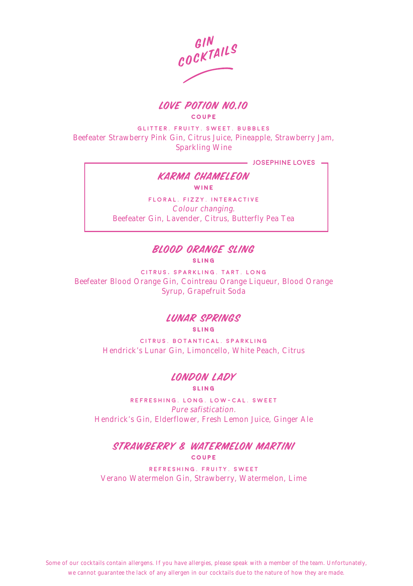



**GLITTER. FRUITY. SWEET. BUBBLES** Beefeater Strawberry Pink Gin, Citrus Juice, Pineapple, Strawberry Jam, Sparkling Wine

**josephine loves**

#### KARMA CHAMELEON **WINE**

**FLORAL. FIZZY. INTERACTIVE** Colour changing. Beefeater Gin, Lavender, Citrus, Butterfly Pea Tea

#### BLOOD ORANGE SLING **S L I N G**

**CITRUS, SPARKLING. TART. LONG** Beefeater Blood Orange Gin, Cointreau Orange Liqueur, Blood Orange Syrup, Grapefruit Soda

# LUNAR SPRINGS

**S L I N G** 

**CITRUS. BOTANTICAL. SPARKLING** Hendrick's Lunar Gin, Limoncello, White Peach, Citrus

#### LONDON LADY **SLING**

**REFRESHING. LONG. LOW-CAL. SWEET** Pure safistication. Hendrick's Gin, Elderflower, Fresh Lemon Juice, Ginger Ale

## STRAWBERRY & WATERMELON MARTINI **COUPE**

**REFRESHING. FRUITY. SWEET** Verano Watermelon Gin, Strawberry, Watermelon, Lime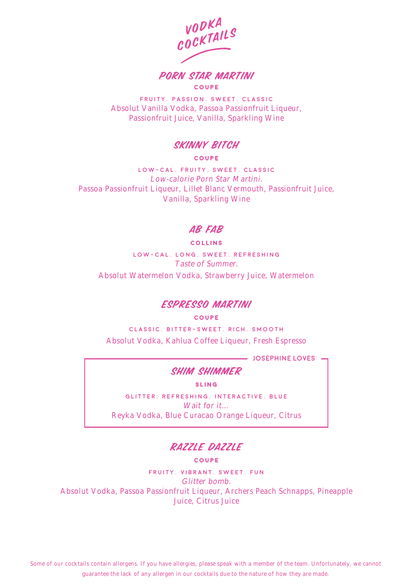VODKA COCKTAILS

PORN STAR MARTINI **COUPE**

**FRUITY. PASSION. SWEET. CLASSIC** Absolut Vanilla Vodka, Passoa Passionfruit Liqueur, Passionfruit Juice, Vanilla, Sparkling Wine

## SKINNY BITCH

#### **COUPE**

**LOW-CAL. FRUITY. SWEET. CLASSIC** Low-calorie Porn Star Martini. Passoa Passionfruit Liqueur, Lillet Blanc Vermouth, Passionfruit Juice, Vanilla, Sparkling Wine

### AB FAB

#### **COLLINS**

**LOW-CAL. LONG. SWEET. REFRESHING** Taste of Summer. Absolut Watermelon Vodka, Strawberry Juice, Watermelon

#### ESPRESSO MARTINI

#### **COUPE**

**CLASSIC. BITTER-SWEET. RICH. SMOOTH** Absolut Vodka, Kahlua Coffee Liqueur, Fresh Espresso

**josephine loves**

## SHIM SHIMMER

**SLING**

**GLITTER. REFRESHING. INTERACTIVE. BLUE** Wait for it… Reyka Vodka, Blue Curacao Orange Liqueur, Citrus

# RAZZLE DAZZLE

#### **COUPE**

**FRUITY. VIBRANT. SWEET. FUN** Glitter bomb. Absolut Vodka, Passoa Passionfruit Liqueur, Archers Peach Schnapps, Pineapple Juice, Citrus Juice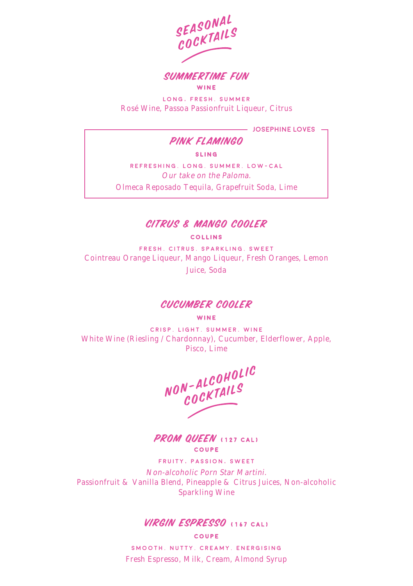



**LONG, FRESH. SUMMER** Rosé Wine, Passoa Passionfruit Liqueur, Citrus

**josephine loves**

# PINK FLAMINGO

**SLING**

**REFRESHING. LONG. SUMMER. LOW-CAL** Our take on the Paloma. Olmeca Reposado Tequila, Grapefruit Soda, Lime



#### **COLLINS**

**FRESH. CITRUS. SPARKLING. SWEET** Cointreau Orange Liqueur, Mango Liqueur, Fresh Oranges, Lemon Juice, Soda

#### CUCUMBER COOLER

**WINE**

**CRISP. LIGHT. SUMMER. WINE** White Wine (Riesling / Chardonnay), Cucumber, Elderflower, Apple, Pisco, Lime

NON-ALCOHOLIC cocktails

PROM QUEEN **(127 CAL) COUPE**

**FRUITY, PASSION, SWEET**

Non-alcoholic Porn Star Martini. Passionfruit & Vanilla Blend, Pineapple & Citrus Juices, Non-alcoholic Sparkling Wine

### VIRGIN ESPRESSO **(167 CAL)**

**COUPE**

**SMOOTH. NUTTY. CREAMY. ENERGISING** Fresh Espresso, Milk, Cream, Almond Syrup